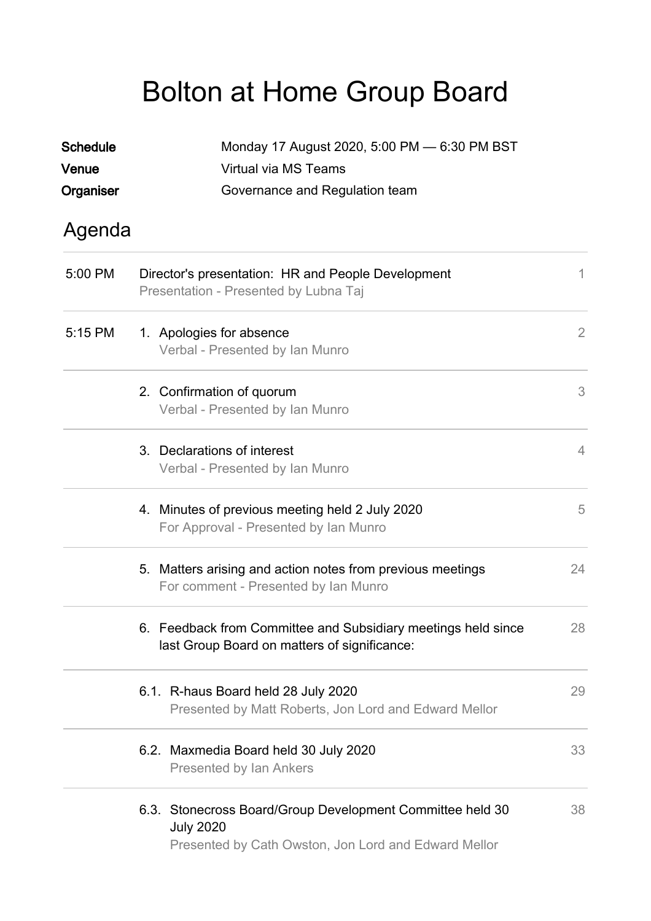## Bolton at Home Group Board

| <b>Schedule</b> | Monday 17 August 2020, 5:00 PM - 6:30 PM BST                                                                                          |    |  |  |
|-----------------|---------------------------------------------------------------------------------------------------------------------------------------|----|--|--|
| Venue           | Virtual via MS Teams                                                                                                                  |    |  |  |
| Organiser       | Governance and Regulation team                                                                                                        |    |  |  |
| Agenda          |                                                                                                                                       |    |  |  |
| 5:00 PM         | Director's presentation: HR and People Development<br>Presentation - Presented by Lubna Taj                                           | 1  |  |  |
| 5:15 PM         | 1. Apologies for absence<br>Verbal - Presented by Ian Munro                                                                           | 2  |  |  |
|                 | 2. Confirmation of quorum<br>Verbal - Presented by Ian Munro                                                                          | 3  |  |  |
|                 | 3. Declarations of interest<br>Verbal - Presented by Ian Munro                                                                        | 4  |  |  |
|                 | 4. Minutes of previous meeting held 2 July 2020<br>For Approval - Presented by Ian Munro                                              | 5  |  |  |
|                 | 5. Matters arising and action notes from previous meetings<br>For comment - Presented by Ian Munro                                    | 24 |  |  |
|                 | 6. Feedback from Committee and Subsidiary meetings held since<br>last Group Board on matters of significance:                         | 28 |  |  |
|                 | 6.1. R-haus Board held 28 July 2020<br>Presented by Matt Roberts, Jon Lord and Edward Mellor                                          | 29 |  |  |
|                 | 6.2. Maxmedia Board held 30 July 2020<br><b>Presented by Ian Ankers</b>                                                               | 33 |  |  |
|                 | 6.3. Stonecross Board/Group Development Committee held 30<br><b>July 2020</b><br>Presented by Cath Owston, Jon Lord and Edward Mellor | 38 |  |  |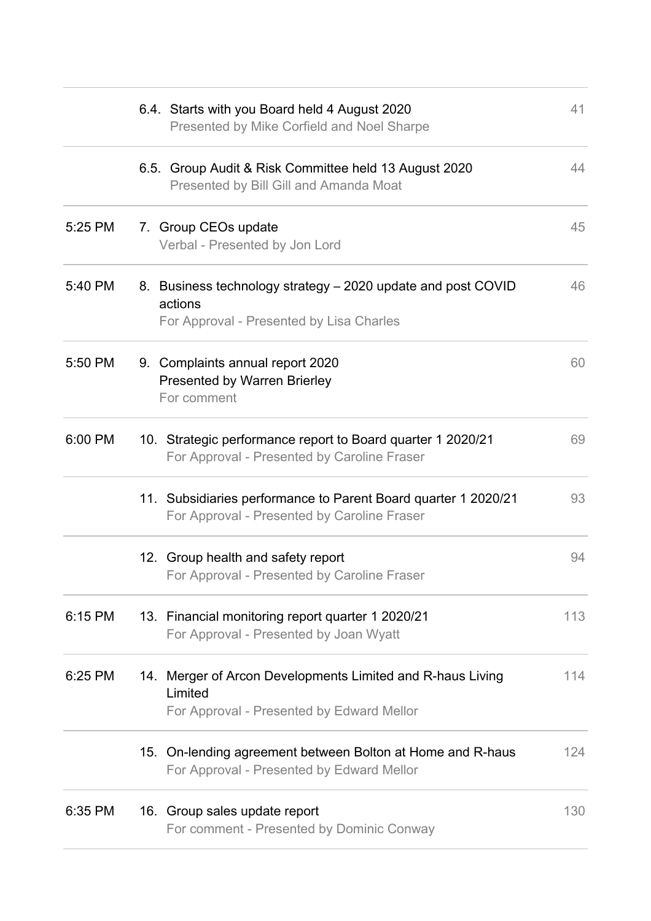|         | 6.4. Starts with you Board held 4 August 2020<br>Presented by Mike Corfield and Noel Sharpe                         | 41  |
|---------|---------------------------------------------------------------------------------------------------------------------|-----|
|         | 6.5. Group Audit & Risk Committee held 13 August 2020<br>Presented by Bill Gill and Amanda Moat                     | 44  |
| 5:25 PM | 7. Group CEOs update<br>Verbal - Presented by Jon Lord                                                              | 45  |
| 5:40 PM | 8. Business technology strategy – 2020 update and post COVID<br>actions<br>For Approval - Presented by Lisa Charles | 46  |
| 5:50 PM | 9. Complaints annual report 2020<br><b>Presented by Warren Brierley</b><br>For comment                              | 60  |
| 6:00 PM | 10. Strategic performance report to Board quarter 1 2020/21<br>For Approval - Presented by Caroline Fraser          | 69  |
|         | 11. Subsidiaries performance to Parent Board quarter 1 2020/21<br>For Approval - Presented by Caroline Fraser       | 93  |
|         | 12. Group health and safety report<br>For Approval - Presented by Caroline Fraser                                   | 94  |
| 6:15 PM | 13. Financial monitoring report quarter 1 2020/21<br>For Approval - Presented by Joan Wyatt                         | 113 |
| 6:25 PM | 14. Merger of Arcon Developments Limited and R-haus Living<br>Limited<br>For Approval - Presented by Edward Mellor  | 114 |
|         | 15. On-lending agreement between Bolton at Home and R-haus<br>For Approval - Presented by Edward Mellor             | 124 |
| 6:35 PM | 16. Group sales update report<br>For comment - Presented by Dominic Conway                                          | 130 |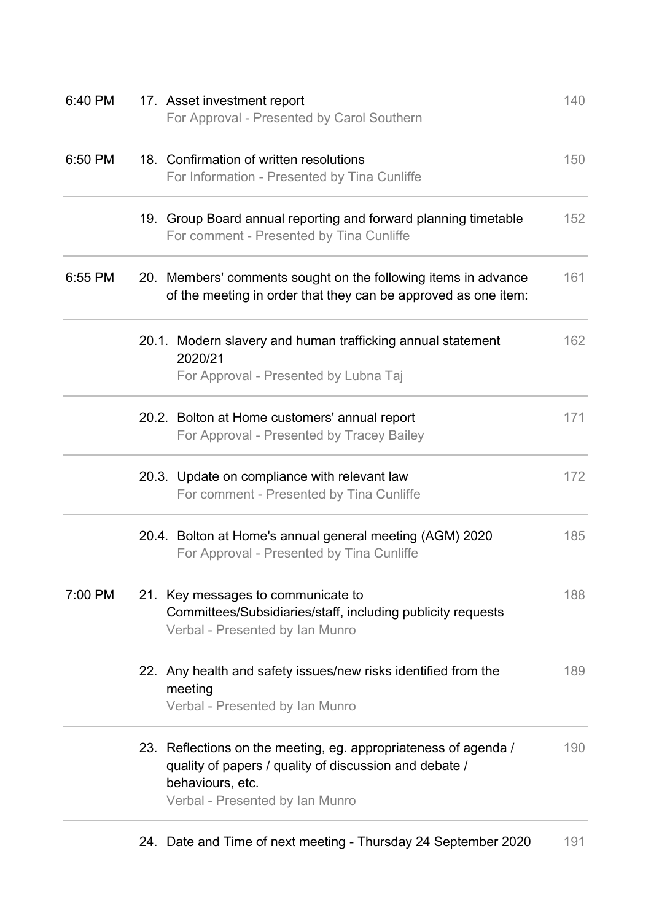| 6:40 PM | 17. Asset investment report<br>For Approval - Presented by Carol Southern                                                                                                        | 140 |
|---------|----------------------------------------------------------------------------------------------------------------------------------------------------------------------------------|-----|
| 6:50 PM | 18. Confirmation of written resolutions<br>For Information - Presented by Tina Cunliffe                                                                                          | 150 |
|         | 19. Group Board annual reporting and forward planning timetable<br>For comment - Presented by Tina Cunliffe                                                                      | 152 |
| 6:55 PM | 20. Members' comments sought on the following items in advance<br>of the meeting in order that they can be approved as one item:                                                 | 161 |
|         | 20.1. Modern slavery and human trafficking annual statement<br>2020/21<br>For Approval - Presented by Lubna Taj                                                                  | 162 |
|         | 20.2. Bolton at Home customers' annual report<br>For Approval - Presented by Tracey Bailey                                                                                       | 171 |
|         | 20.3. Update on compliance with relevant law<br>For comment - Presented by Tina Cunliffe                                                                                         | 172 |
|         | 20.4. Bolton at Home's annual general meeting (AGM) 2020<br>For Approval - Presented by Tina Cunliffe                                                                            | 185 |
| 7:00 PM | 21. Key messages to communicate to<br>Committees/Subsidiaries/staff, including publicity requests<br>Verbal - Presented by Ian Munro                                             | 188 |
|         | 22. Any health and safety issues/new risks identified from the<br>meeting<br>Verbal - Presented by Ian Munro                                                                     | 189 |
|         | 23. Reflections on the meeting, eg. appropriateness of agenda /<br>quality of papers / quality of discussion and debate /<br>behaviours, etc.<br>Verbal - Presented by Ian Munro | 190 |

24. Date and Time of next meeting - Thursday 24 September 2020 191